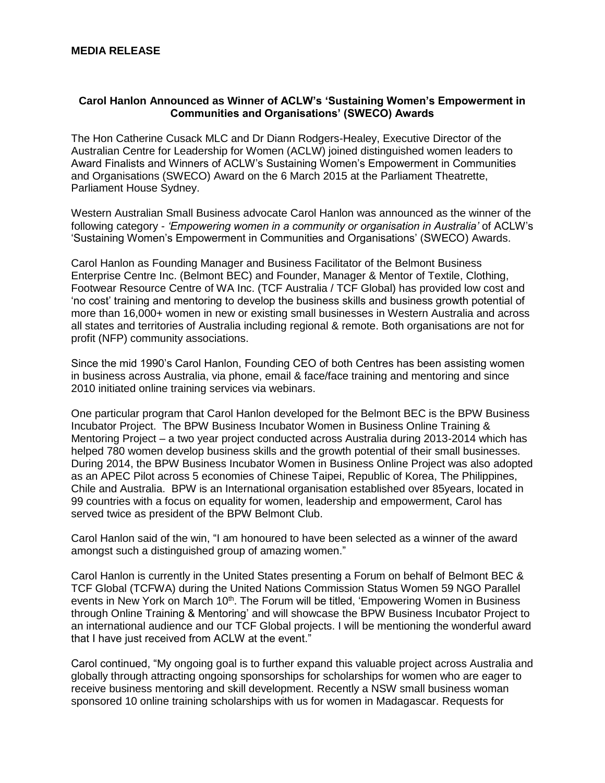## **MEDIA RELEASE**

## **Carol Hanlon Announced as Winner of ACLW's 'Sustaining Women's Empowerment in Communities and Organisations' (SWECO) Awards**

The Hon Catherine Cusack MLC and Dr Diann Rodgers-Healey, Executive Director of the Australian Centre for Leadership for Women (ACLW) joined distinguished women leaders to Award Finalists and Winners of ACLW's Sustaining Women's Empowerment in Communities and Organisations (SWECO) Award on the 6 March 2015 at the Parliament Theatrette, Parliament House Sydney.

Western Australian Small Business advocate Carol Hanlon was announced as the winner of the following category - *'Empowering women in a community or organisation in Australia'* of ACLW's 'Sustaining Women's Empowerment in Communities and Organisations' (SWECO) Awards.

Carol Hanlon as Founding Manager and Business Facilitator of the Belmont Business Enterprise Centre Inc. (Belmont BEC) and Founder, Manager & Mentor of Textile, Clothing, Footwear Resource Centre of WA Inc. (TCF Australia / TCF Global) has provided low cost and 'no cost' training and mentoring to develop the business skills and business growth potential of more than 16,000+ women in new or existing small businesses in Western Australia and across all states and territories of Australia including regional & remote. Both organisations are not for profit (NFP) community associations.

Since the mid 1990's Carol Hanlon, Founding CEO of both Centres has been assisting women in business across Australia, via phone, email & face/face training and mentoring and since 2010 initiated online training services via webinars.

One particular program that Carol Hanlon developed for the Belmont BEC is the BPW Business Incubator Project. The BPW Business Incubator Women in Business Online Training & Mentoring Project – a two year project conducted across Australia during 2013-2014 which has helped 780 women develop business skills and the growth potential of their small businesses. During 2014, the BPW Business Incubator Women in Business Online Project was also adopted as an APEC Pilot across 5 economies of Chinese Taipei, Republic of Korea, The Philippines, Chile and Australia. BPW is an International organisation established over 85years, located in 99 countries with a focus on equality for women, leadership and empowerment, Carol has served twice as president of the BPW Belmont Club.

Carol Hanlon said of the win, "I am honoured to have been selected as a winner of the award amongst such a distinguished group of amazing women."

Carol Hanlon is currently in the United States presenting a Forum on behalf of Belmont BEC & TCF Global (TCFWA) during the United Nations Commission Status Women 59 NGO Parallel events in New York on March 10<sup>th</sup>. The Forum will be titled, 'Empowering Women in Business through Online Training & Mentoring' and will showcase the BPW Business Incubator Project to an international audience and our TCF Global projects. I will be mentioning the wonderful award that I have just received from ACLW at the event."

Carol continued, "My ongoing goal is to further expand this valuable project across Australia and globally through attracting ongoing sponsorships for scholarships for women who are eager to receive business mentoring and skill development. Recently a NSW small business woman sponsored 10 online training scholarships with us for women in Madagascar. Requests for